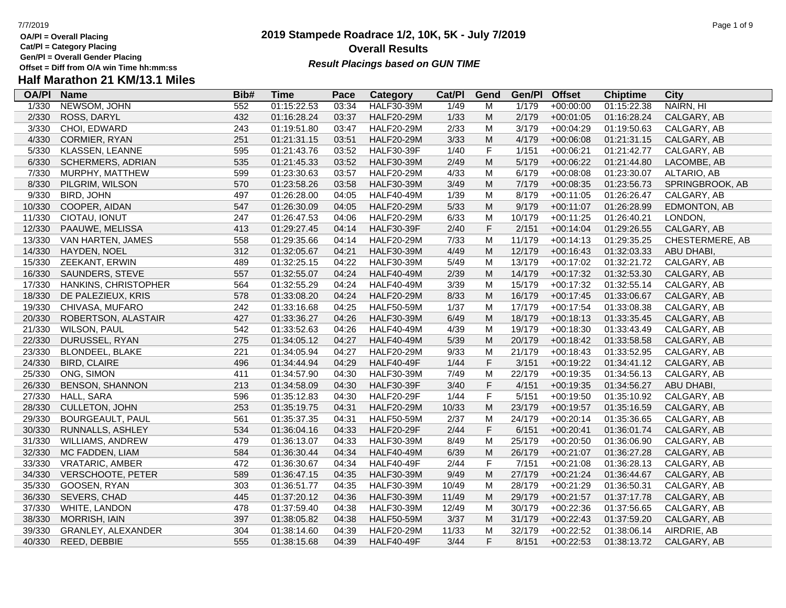- **OA/Pl = Overall Placing Cat/Pl = Category Placing**
- 
- **Gen/Pl = Overall Gender Placing**

## **2019 Stampede Roadrace 1/2, 10K, 5K - July 7/2019** 7/7/2019 Page 1 of 9 **Overall Results Result Placings based on GUN TIME**

| <b>OA/PI</b> | <b>Name</b>              | Bib# | Time        | Pace  | Category          | Cat/PI | Gend        | Gen/Pl | <b>Offset</b> | <b>Chiptime</b> | City             |
|--------------|--------------------------|------|-------------|-------|-------------------|--------|-------------|--------|---------------|-----------------|------------------|
| 1/330        | NEWSOM, JOHN             | 552  | 01:15:22.53 | 03:34 | <b>HALF30-39M</b> | 1/49   | м           | 1/179  | $+00:00:00$   | 01:15:22.38     | NAIRN, HI        |
| 2/330        | ROSS, DARYL              | 432  | 01:16:28.24 | 03:37 | <b>HALF20-29M</b> | 1/33   | ${\sf M}$   | 2/179  | $+00:01:05$   | 01:16:28.24     | CALGARY, AB      |
| 3/330        | CHOI, EDWARD             | 243  | 01:19:51.80 | 03:47 | <b>HALF20-29M</b> | 2/33   | M           | 3/179  | $+00:04:29$   | 01:19:50.63     | CALGARY, AB      |
| 4/330        | CORMIER, RYAN            | 251  | 01:21:31.15 | 03:51 | <b>HALF20-29M</b> | 3/33   | M           | 4/179  | $+00:06:08$   | 01:21:31.15     | CALGARY, AB      |
| 5/330        | KLASSEN, LEANNE          | 595  | 01:21:43.76 | 03:52 | <b>HALF30-39F</b> | 1/40   | $\mathsf F$ | 1/151  | $+00:06:21$   | 01:21:42.77     | CALGARY, AB      |
| 6/330        | <b>SCHERMERS, ADRIAN</b> | 535  | 01:21:45.33 | 03:52 | <b>HALF30-39M</b> | 2/49   | ${\sf M}$   | 5/179  | $+00:06:22$   | 01:21:44.80     | LACOMBE, AB      |
| 7/330        | MURPHY, MATTHEW          | 599  | 01:23:30.63 | 03:57 | <b>HALF20-29M</b> | 4/33   | M           | 6/179  | $+00:08:08$   | 01:23:30.07     | ALTARIO, AB      |
| 8/330        | PILGRIM, WILSON          | 570  | 01:23:58.26 | 03:58 | <b>HALF30-39M</b> | 3/49   | M           | 7/179  | $+00:08:35$   | 01:23:56.73     | SPRINGBROOK, AB  |
| 9/330        | <b>BIRD, JOHN</b>        | 497  | 01:26:28.00 | 04:05 | <b>HALF40-49M</b> | 1/39   | M           | 8/179  | $+00:11:05$   | 01:26:26.47     | CALGARY, AB      |
| 10/330       | COOPER, AIDAN            | 547  | 01:26:30.09 | 04:05 | <b>HALF20-29M</b> | 5/33   | ${\sf M}$   | 9/179  | $+00:11:07$   | 01:26:28.99     | EDMONTON, AB     |
| 11/330       | CIOTAU, IONUT            | 247  | 01:26:47.53 | 04:06 | <b>HALF20-29M</b> | 6/33   | M           | 10/179 | $+00:11:25$   | 01:26:40.21     | LONDON,          |
| 12/330       | PAAUWE, MELISSA          | 413  | 01:29:27.45 | 04:14 | <b>HALF30-39F</b> | 2/40   | $\mathsf F$ | 2/151  | $+00:14:04$   | 01:29:26.55     | CALGARY, AB      |
| 13/330       | VAN HARTEN, JAMES        | 558  | 01:29:35.66 | 04:14 | <b>HALF20-29M</b> | 7/33   | M           | 11/179 | $+00:14:13$   | 01:29:35.25     | CHESTERMERE, AB  |
| 14/330       | HAYDEN, NOEL             | 312  | 01:32:05.67 | 04:21 | <b>HALF30-39M</b> | 4/49   | ${\sf M}$   | 12/179 | $+00:16:43$   | 01:32:03.33     | ABU DHABI,       |
| 15/330       | ZEEKANT, ERWIN           | 489  | 01:32:25.15 | 04:22 | <b>HALF30-39M</b> | 5/49   | M           | 13/179 | $+00:17:02$   | 01:32:21.72     | CALGARY, AB      |
| 16/330       | SAUNDERS, STEVE          | 557  | 01:32:55.07 | 04:24 | <b>HALF40-49M</b> | 2/39   | ${\sf M}$   | 14/179 | $+00:17:32$   | 01:32:53.30     | CALGARY, AB      |
| 17/330       | HANKINS, CHRISTOPHER     | 564  | 01:32:55.29 | 04:24 | <b>HALF40-49M</b> | 3/39   | M           | 15/179 | $+00:17:32$   | 01:32:55.14     | CALGARY, AB      |
| 18/330       | DE PALEZIEUX, KRIS       | 578  | 01:33:08.20 | 04:24 | <b>HALF20-29M</b> | 8/33   | ${\sf M}$   | 16/179 | $+00:17:45$   | 01:33:06.67     | CALGARY, AB      |
| 19/330       | CHIVASA, MUFARO          | 242  | 01:33:16.68 | 04:25 | <b>HALF50-59M</b> | 1/37   | M           | 17/179 | $+00:17:54$   | 01:33:08.38     | CALGARY, AB      |
| 20/330       | ROBERTSON, ALASTAIR      | 427  | 01:33:36.27 | 04:26 | <b>HALF30-39M</b> | 6/49   | M           | 18/179 | $+00:18:13$   | 01:33:35.45     | CALGARY, AB      |
| 21/330       | <b>WILSON, PAUL</b>      | 542  | 01:33:52.63 | 04:26 | <b>HALF40-49M</b> | 4/39   | ${\sf M}$   | 19/179 | $+00:18:30$   | 01:33:43.49     | CALGARY, AB      |
| 22/330       | DURUSSEL, RYAN           | 275  | 01:34:05.12 | 04:27 | <b>HALF40-49M</b> | 5/39   | ${\sf M}$   | 20/179 | $+00:18:42$   | 01:33:58.58     | CALGARY, AB      |
| 23/330       | BLONDEEL, BLAKE          | 221  | 01:34:05.94 | 04:27 | <b>HALF20-29M</b> | 9/33   | M           | 21/179 | $+00:18:43$   | 01:33:52.95     | CALGARY, AB      |
| 24/330       | <b>BIRD, CLAIRE</b>      | 496  | 01:34:44.94 | 04:29 | <b>HALF40-49F</b> | 1/44   | F           | 3/151  | $+00:19:22$   | 01:34:41.12     | CALGARY, AB      |
| 25/330       | ONG, SIMON               | 411  | 01:34:57.90 | 04:30 | <b>HALF30-39M</b> | 7/49   | M           | 22/179 | $+00:19:35$   | 01:34:56.13     | CALGARY, AB      |
| 26/330       | <b>BENSON, SHANNON</b>   | 213  | 01:34:58.09 | 04:30 | <b>HALF30-39F</b> | 3/40   | $\mathsf F$ | 4/151  | $+00:19:35$   | 01:34:56.27     | <b>ABU DHABI</b> |
| 27/330       | HALL, SARA               | 596  | 01:35:12.83 | 04:30 | <b>HALF20-29F</b> | 1/44   | $\mathsf F$ | 5/151  | $+00:19:50$   | 01:35:10.92     | CALGARY, AB      |
| 28/330       | CULLETON, JOHN           | 253  | 01:35:19.75 | 04:31 | <b>HALF20-29M</b> | 10/33  | ${\sf M}$   | 23/179 | $+00:19:57$   | 01:35:16.59     | CALGARY, AB      |
| 29/330       | <b>BOURGEAULT, PAUL</b>  | 561  | 01:35:37.35 | 04:31 | <b>HALF50-59M</b> | 2/37   | M           | 24/179 | $+00:20:14$   | 01:35:36.65     | CALGARY, AB      |
| 30/330       | RUNNALLS, ASHLEY         | 534  | 01:36:04.16 | 04:33 | <b>HALF20-29F</b> | 2/44   | F           | 6/151  | $+00:20:41$   | 01:36:01.74     | CALGARY, AB      |
| 31/330       | WILLIAMS, ANDREW         | 479  | 01:36:13.07 | 04:33 | HALF30-39M        | 8/49   | ${\sf M}$   | 25/179 | $+00:20:50$   | 01:36:06.90     | CALGARY, AB      |
| 32/330       | MC FADDEN, LIAM          | 584  | 01:36:30.44 | 04:34 | <b>HALF40-49M</b> | 6/39   | ${\sf M}$   | 26/179 | $+00:21:07$   | 01:36:27.28     | CALGARY, AB      |
| 33/330       | <b>VRATARIC, AMBER</b>   | 472  | 01:36:30.67 | 04:34 | <b>HALF40-49F</b> | 2/44   | $\mathsf F$ | 7/151  | $+00:21:08$   | 01:36:28.13     | CALGARY, AB      |
| 34/330       | <b>VERSCHOOTE, PETER</b> | 589  | 01:36:47.15 | 04:35 | <b>HALF30-39M</b> | 9/49   | ${\sf M}$   | 27/179 | $+00:21:24$   | 01:36:44.67     | CALGARY, AB      |
| 35/330       | GOOSEN, RYAN             | 303  | 01:36:51.77 | 04:35 | <b>HALF30-39M</b> | 10/49  | M           | 28/179 | $+00:21:29$   | 01:36:50.31     | CALGARY, AB      |
| 36/330       | SEVERS, CHAD             | 445  | 01:37:20.12 | 04:36 | <b>HALF30-39M</b> | 11/49  | ${\sf M}$   | 29/179 | $+00:21:57$   | 01:37:17.78     | CALGARY, AB      |
| 37/330       | WHITE, LANDON            | 478  | 01:37:59.40 | 04:38 | <b>HALF30-39M</b> | 12/49  | M           | 30/179 | $+00:22:36$   | 01:37:56.65     | CALGARY, AB      |
| 38/330       | MORRISH, IAIN            | 397  | 01:38:05.82 | 04:38 | <b>HALF50-59M</b> | 3/37   | ${\sf M}$   | 31/179 | $+00:22:43$   | 01:37:59.20     | CALGARY, AB      |
| 39/330       | GRANLEY, ALEXANDER       | 304  | 01:38:14.60 | 04:39 | <b>HALF20-29M</b> | 11/33  | M           | 32/179 | $+00:22:52$   | 01:38:06.14     | AIRDRIE, AB      |
| 40/330       | REED, DEBBIE             | 555  | 01:38:15.68 | 04:39 | <b>HALF40-49F</b> | 3/44   | F           | 8/151  | $+00:22:53$   | 01:38:13.72     | CALGARY, AB      |
|              |                          |      |             |       |                   |        |             |        |               |                 |                  |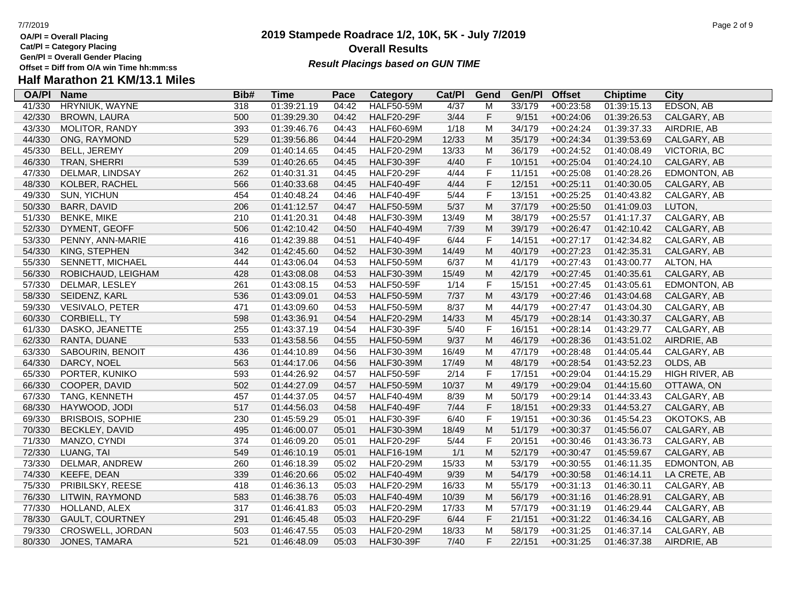- **Cat/Pl = Category Placing**
- **Gen/Pl = Overall Gender Placing**

## **2019 Stampede Roadrace 1/2, 10K, 5K - July 7/2019** 7/7/2019 Page 2 of 9 **Overall Results Result Placings based on GUN TIME**

| <b>OA/PI</b> | <b>Name</b>             | Bib#             | <b>Time</b> | Pace  | Category          | Cat/PI | Gend        | Gen/Pl | <b>Offset</b> | <b>Chiptime</b> | <b>City</b>         |
|--------------|-------------------------|------------------|-------------|-------|-------------------|--------|-------------|--------|---------------|-----------------|---------------------|
| 41/330       | HRYNIUK, WAYNE          | $\overline{318}$ | 01:39:21.19 | 04:42 | <b>HALF50-59M</b> | 4/37   | M           | 33/179 | $+00:23:58$   | 01:39:15.13     | <b>EDSON, AB</b>    |
| 42/330       | <b>BROWN, LAURA</b>     | 500              | 01:39:29.30 | 04:42 | <b>HALF20-29F</b> | 3/44   | F           | 9/151  | $+00:24:06$   | 01:39:26.53     | CALGARY, AB         |
| 43/330       | MOLITOR, RANDY          | 393              | 01:39:46.76 | 04:43 | <b>HALF60-69M</b> | 1/18   | M           | 34/179 | $+00:24:24$   | 01:39:37.33     | AIRDRIE, AB         |
| 44/330       | ONG, RAYMOND            | 529              | 01:39:56.86 | 04:44 | <b>HALF20-29M</b> | 12/33  | M           | 35/179 | $+00:24:34$   | 01:39:53.69     | CALGARY, AB         |
| 45/330       | BELL, JEREMY            | 209              | 01:40:14.65 | 04:45 | <b>HALF20-29M</b> | 13/33  | M           | 36/179 | $+00:24:52$   | 01:40:08.49     | <b>VICTORIA, BC</b> |
| 46/330       | TRAN, SHERRI            | 539              | 01:40:26.65 | 04:45 | <b>HALF30-39F</b> | 4/40   | $\mathsf F$ | 10/151 | $+00:25:04$   | 01:40:24.10     | CALGARY, AB         |
| 47/330       | DELMAR, LINDSAY         | 262              | 01:40:31.31 | 04:45 | <b>HALF20-29F</b> | 4/44   | $\mathsf F$ | 11/151 | $+00:25:08$   | 01:40:28.26     | EDMONTON, AB        |
| 48/330       | KOLBER, RACHEL          | 566              | 01:40:33.68 | 04:45 | <b>HALF40-49F</b> | 4/44   | $\mathsf F$ | 12/151 | $+00:25:11$   | 01:40:30.05     | CALGARY, AB         |
| 49/330       | SUN, YICHUN             | 454              | 01:40:48.24 | 04:46 | <b>HALF40-49F</b> | $5/44$ | $\mathsf F$ | 13/151 | $+00:25:25$   | 01:40:43.82     | CALGARY, AB         |
| 50/330       | <b>BARR, DAVID</b>      | 206              | 01:41:12.57 | 04:47 | <b>HALF50-59M</b> | 5/37   | ${\sf M}$   | 37/179 | $+00:25:50$   | 01:41:09.03     | LUTON,              |
| 51/330       | <b>BENKE, MIKE</b>      | 210              | 01:41:20.31 | 04:48 | <b>HALF30-39M</b> | 13/49  | M           | 38/179 | $+00:25:57$   | 01:41:17.37     | CALGARY, AB         |
| 52/330       | DYMENT, GEOFF           | 506              | 01:42:10.42 | 04:50 | <b>HALF40-49M</b> | 7/39   | M           | 39/179 | $+00:26:47$   | 01:42:10.42     | CALGARY, AB         |
| 53/330       | PENNY, ANN-MARIE        | 416              | 01:42:39.88 | 04:51 | <b>HALF40-49F</b> | 6/44   | $\mathsf F$ | 14/151 | $+00:27:17$   | 01:42:34.82     | CALGARY, AB         |
| 54/330       | KING, STEPHEN           | 342              | 01:42:45.60 | 04:52 | <b>HALF30-39M</b> | 14/49  | ${\sf M}$   | 40/179 | $+00:27:23$   | 01:42:35.31     | CALGARY, AB         |
| 55/330       | <b>SENNETT, MICHAEL</b> | 444              | 01:43:06.04 | 04:53 | <b>HALF50-59M</b> | 6/37   | M           | 41/179 | $+00:27:43$   | 01:43:00.77     | ALTON, HA           |
| 56/330       | ROBICHAUD, LEIGHAM      | 428              | 01:43:08.08 | 04:53 | <b>HALF30-39M</b> | 15/49  | M           | 42/179 | $+00:27:45$   | 01:40:35.61     | CALGARY, AB         |
| 57/330       | DELMAR, LESLEY          | 261              | 01:43:08.15 | 04:53 | <b>HALF50-59F</b> | 1/14   | $\mathsf F$ | 15/151 | $+00:27:45$   | 01:43:05.61     | EDMONTON, AB        |
| 58/330       | SEIDENZ, KARL           | 536              | 01:43:09.01 | 04:53 | <b>HALF50-59M</b> | 7/37   | M           | 43/179 | $+00:27:46$   | 01:43:04.68     | CALGARY, AB         |
| 59/330       | <b>VESIVALO, PETER</b>  | 471              | 01:43:09.60 | 04:53 | <b>HALF50-59M</b> | 8/37   | M           | 44/179 | $+00:27:47$   | 01:43:04.30     | CALGARY, AB         |
| 60/330       | <b>CORBIELL, TY</b>     | 598              | 01:43:36.91 | 04:54 | <b>HALF20-29M</b> | 14/33  | ${\sf M}$   | 45/179 | $+00:28:14$   | 01:43:30.37     | CALGARY, AB         |
| 61/330       | DASKO, JEANETTE         | 255              | 01:43:37.19 | 04:54 | <b>HALF30-39F</b> | 5/40   | $\mathsf F$ | 16/151 | $+00:28:14$   | 01:43:29.77     | CALGARY, AB         |
| 62/330       | RANTA, DUANE            | 533              | 01:43:58.56 | 04:55 | <b>HALF50-59M</b> | 9/37   | M           | 46/179 | $+00:28:36$   | 01:43:51.02     | AIRDRIE, AB         |
| 63/330       | SABOURIN, BENOIT        | 436              | 01:44:10.89 | 04:56 | <b>HALF30-39M</b> | 16/49  | M           | 47/179 | $+00:28:48$   | 01:44:05.44     | CALGARY, AB         |
| 64/330       | DARCY, NOEL             | 563              | 01:44:17.06 | 04:56 | <b>HALF30-39M</b> | 17/49  | M           | 48/179 | $+00:28:54$   | 01:43:52.23     | OLDS, AB            |
| 65/330       | PORTER, KUNIKO          | 593              | 01:44:26.92 | 04:57 | <b>HALF50-59F</b> | 2/14   | $\mathsf F$ | 17/151 | $+00:29:04$   | 01:44:15.29     | HIGH RIVER, AB      |
| 66/330       | COOPER, DAVID           | 502              | 01:44:27.09 | 04:57 | <b>HALF50-59M</b> | 10/37  | ${\sf M}$   | 49/179 | $+00:29:04$   | 01:44:15.60     | OTTAWA, ON          |
| 67/330       | TANG, KENNETH           | 457              | 01:44:37.05 | 04:57 | <b>HALF40-49M</b> | 8/39   | M           | 50/179 | $+00:29:14$   | 01:44:33.43     | CALGARY, AB         |
| 68/330       | HAYWOOD, JODI           | 517              | 01:44:56.03 | 04:58 | <b>HALF40-49F</b> | $7/44$ | $\mathsf F$ | 18/151 | $+00:29:33$   | 01:44:53.27     | CALGARY, AB         |
| 69/330       | <b>BRISBOIS, SOPHIE</b> | 230              | 01:45:59.29 | 05:01 | <b>HALF30-39F</b> | 6/40   | $\mathsf F$ | 19/151 | $+00:30:36$   | 01:45:54.23     | OKOTOKS, AB         |
| 70/330       | BECKLEY, DAVID          | 495              | 01:46:00.07 | 05:01 | <b>HALF30-39M</b> | 18/49  | ${\sf M}$   | 51/179 | $+00:30:37$   | 01:45:56.07     | CALGARY, AB         |
| 71/330       | MANZO, CYNDI            | 374              | 01:46:09.20 | 05:01 | <b>HALF20-29F</b> | 5/44   | $\mathsf F$ | 20/151 | $+00:30:46$   | 01:43:36.73     | CALGARY, AB         |
| 72/330       | LUANG, TAI              | 549              | 01:46:10.19 | 05:01 | <b>HALF16-19M</b> | 1/1    | ${\sf M}$   | 52/179 | $+00:30:47$   | 01:45:59.67     | CALGARY, AB         |
| 73/330       | DELMAR, ANDREW          | 260              | 01:46:18.39 | 05:02 | <b>HALF20-29M</b> | 15/33  | M           | 53/179 | $+00:30:55$   | 01:46:11.35     | EDMONTON, AB        |
| 74/330       | KEEFE, DEAN             | 339              | 01:46:20.66 | 05:02 | <b>HALF40-49M</b> | 9/39   | ${\sf M}$   | 54/179 | $+00:30:58$   | 01:46:14.11     | LA CRETE, AB        |
| 75/330       | PRIBILSKY, REESE        | 418              | 01:46:36.13 | 05:03 | <b>HALF20-29M</b> | 16/33  | M           | 55/179 | $+00:31:13$   | 01:46:30.11     | CALGARY, AB         |
| 76/330       | LITWIN, RAYMOND         | 583              | 01:46:38.76 | 05:03 | <b>HALF40-49M</b> | 10/39  | ${\sf M}$   | 56/179 | $+00:31:16$   | 01:46:28.91     | CALGARY, AB         |
| 77/330       | HOLLAND, ALEX           | 317              | 01:46:41.83 | 05:03 | <b>HALF20-29M</b> | 17/33  | M           | 57/179 | $+00:31:19$   | 01:46:29.44     | CALGARY, AB         |
| 78/330       | <b>GAULT, COURTNEY</b>  | 291              | 01:46:45.48 | 05:03 | <b>HALF20-29F</b> | 6/44   | $\mathsf F$ | 21/151 | $+00:31:22$   | 01:46:34.16     | CALGARY, AB         |
| 79/330       | CROSWELL, JORDAN        | 503              | 01:46:47.55 | 05:03 | <b>HALF20-29M</b> | 18/33  | M           | 58/179 | $+00:31:25$   | 01:46:37.14     | CALGARY, AB         |
| 80/330       | JONES, TAMARA           | 521              | 01:46:48.09 | 05:03 | <b>HALF30-39F</b> | 7/40   | F           | 22/151 | $+00:31:25$   | 01:46:37.38     | AIRDRIE, AB         |
|              |                         |                  |             |       |                   |        |             |        |               |                 |                     |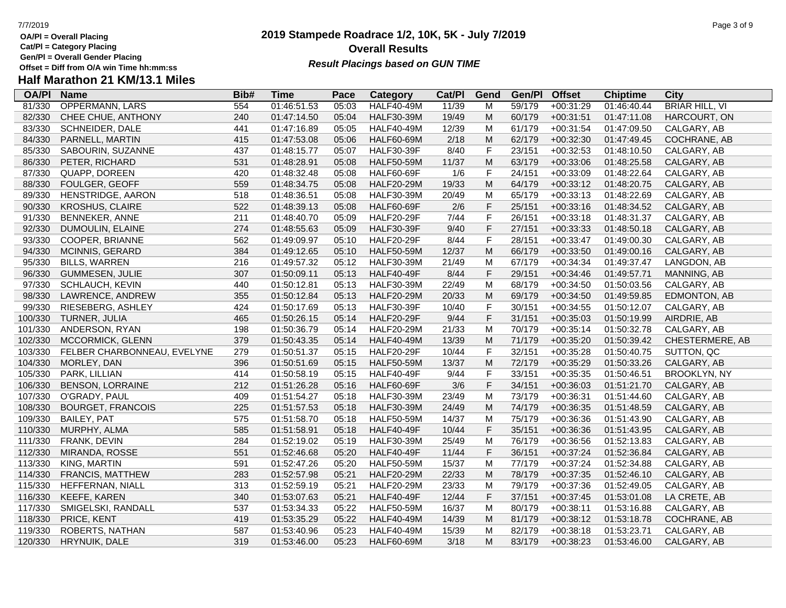- **OA/Pl = Overall Placing Cat/Pl = Category Placing**
- 
- **Gen/Pl = Overall Gender Placing**

## **2019 Stampede Roadrace 1/2, 10K, 5K - July 7/2019** 7/7/2019 Page 3 of 9 **Overall Results Result Placings based on GUN TIME**

| <b>OA/PI</b> | <b>Name</b>                 | Bib# | Time        | Pace  | Category          | Cat/PI | Gend                                                                                  | Gen/Pl | <b>Offset</b> | <b>Chiptime</b> | City                  |
|--------------|-----------------------------|------|-------------|-------|-------------------|--------|---------------------------------------------------------------------------------------|--------|---------------|-----------------|-----------------------|
| 81/330       | <b>OPPERMANN, LARS</b>      | 554  | 01:46:51.53 | 05:03 | <b>HALF40-49M</b> | 11/39  | M                                                                                     | 59/179 | $+00:31:29$   | 01:46:40.44     | <b>BRIAR HILL, VI</b> |
| 82/330       | CHEE CHUE, ANTHONY          | 240  | 01:47:14.50 | 05:04 | <b>HALF30-39M</b> | 19/49  | M                                                                                     | 60/179 | $+00:31:51$   | 01:47:11.08     | HARCOURT, ON          |
| 83/330       | <b>SCHNEIDER, DALE</b>      | 441  | 01:47:16.89 | 05:05 | <b>HALF40-49M</b> | 12/39  | M                                                                                     | 61/179 | $+00:31:54$   | 01:47:09.50     | CALGARY, AB           |
| 84/330       | PARNELL, MARTIN             | 415  | 01:47:53.08 | 05:06 | <b>HALF60-69M</b> | 2/18   | M                                                                                     | 62/179 | $+00:32:30$   | 01:47:49.45     | COCHRANE, AB          |
| 85/330       | SABOURIN, SUZANNE           | 437  | 01:48:15.77 | 05:07 | <b>HALF30-39F</b> | 8/40   | $\mathsf F$                                                                           | 23/151 | $+00:32:53$   | 01:48:10.50     | CALGARY, AB           |
| 86/330       | PETER, RICHARD              | 531  | 01:48:28.91 | 05:08 | <b>HALF50-59M</b> | 11/37  | ${\sf M}$                                                                             | 63/179 | $+00:33:06$   | 01:48:25.58     | CALGARY, AB           |
| 87/330       | QUAPP, DOREEN               | 420  | 01:48:32.48 | 05:08 | <b>HALF60-69F</b> | 1/6    | $\mathsf F$                                                                           | 24/151 | $+00:33:09$   | 01:48:22.64     | CALGARY, AB           |
| 88/330       | FOULGER, GEOFF              | 559  | 01:48:34.75 | 05:08 | <b>HALF20-29M</b> | 19/33  | $\mathsf{M}% _{T}=\mathsf{M}_{T}\!\left( a,b\right) ,\ \mathsf{M}_{T}=\mathsf{M}_{T}$ | 64/179 | $+00:33:12$   | 01:48:20.75     | CALGARY, AB           |
| 89/330       | HENSTRIDGE, AARON           | 518  | 01:48:36.51 | 05:08 | <b>HALF30-39M</b> | 20/49  | M                                                                                     | 65/179 | $+00:33:13$   | 01:48:22.69     | CALGARY, AB           |
| 90/330       | <b>KROSHUS, CLAIRE</b>      | 522  | 01:48:39.13 | 05:08 | <b>HALF60-69F</b> | 2/6    | $\mathsf F$                                                                           | 25/151 | $+00:33:16$   | 01:48:34.52     | CALGARY, AB           |
| 91/330       | BENNEKER, ANNE              | 211  | 01:48:40.70 | 05:09 | <b>HALF20-29F</b> | 7/44   | F                                                                                     | 26/151 | $+00:33:18$   | 01:48:31.37     | CALGARY, AB           |
| 92/330       | DUMOULIN, ELAINE            | 274  | 01:48:55.63 | 05:09 | <b>HALF30-39F</b> | 9/40   | $\mathsf F$                                                                           | 27/151 | $+00:33:33$   | 01:48:50.18     | CALGARY, AB           |
| 93/330       | COOPER, BRIANNE             | 562  | 01:49:09.97 | 05:10 | <b>HALF20-29F</b> | 8/44   | $\mathsf F$                                                                           | 28/151 | $+00:33:47$   | 01:49:00.30     | CALGARY, AB           |
| 94/330       | <b>MCINNIS, GERARD</b>      | 384  | 01:49:12.65 | 05:10 | <b>HALF50-59M</b> | 12/37  | M                                                                                     | 66/179 | $+00:33:50$   | 01:49:00.16     | CALGARY, AB           |
| 95/330       | <b>BILLS, WARREN</b>        | 216  | 01:49:57.32 | 05:12 | <b>HALF30-39M</b> | 21/49  | M                                                                                     | 67/179 | $+00:34:34$   | 01:49:37.47     | LANGDON, AB           |
| 96/330       | GUMMESEN, JULIE             | 307  | 01:50:09.11 | 05:13 | <b>HALF40-49F</b> | 8/44   | $\mathsf F$                                                                           | 29/151 | $+00:34:46$   | 01:49:57.71     | MANNING, AB           |
| 97/330       | <b>SCHLAUCH, KEVIN</b>      | 440  | 01:50:12.81 | 05:13 | <b>HALF30-39M</b> | 22/49  | M                                                                                     | 68/179 | $+00:34:50$   | 01:50:03.56     | CALGARY, AB           |
| 98/330       | LAWRENCE, ANDREW            | 355  | 01:50:12.84 | 05:13 | <b>HALF20-29M</b> | 20/33  | M                                                                                     | 69/179 | $+00:34:50$   | 01:49:59.85     | EDMONTON, AB          |
| 99/330       | RIESEBERG, ASHLEY           | 424  | 01:50:17.69 | 05:13 | <b>HALF30-39F</b> | 10/40  | $\mathsf F$                                                                           | 30/151 | $+00:34:55$   | 01:50:12.07     | CALGARY, AB           |
| 100/330      | TURNER, JULIA               | 465  | 01:50:26.15 | 05:14 | <b>HALF20-29F</b> | 9/44   | $\mathsf F$                                                                           | 31/151 | $+00:35:03$   | 01:50:19.99     | AIRDRIE, AB           |
| 101/330      | ANDERSON, RYAN              | 198  | 01:50:36.79 | 05:14 | <b>HALF20-29M</b> | 21/33  | M                                                                                     | 70/179 | $+00:35:14$   | 01:50:32.78     | CALGARY, AB           |
| 102/330      | MCCORMICK, GLENN            | 379  | 01:50:43.35 | 05:14 | <b>HALF40-49M</b> | 13/39  | ${\sf M}$                                                                             | 71/179 | $+00:35:20$   | 01:50:39.42     | CHESTERMERE, AB       |
| 103/330      | FELBER CHARBONNEAU, EVELYNE | 279  | 01:50:51.37 | 05:15 | <b>HALF20-29F</b> | 10/44  | $\mathsf F$                                                                           | 32/151 | $+00:35:28$   | 01:50:40.75     | SUTTON, QC            |
| 104/330      | MORLEY, DAN                 | 396  | 01:50:51.69 | 05:15 | <b>HALF50-59M</b> | 13/37  | M                                                                                     | 72/179 | $+00:35:29$   | 01:50:33.26     | CALGARY, AB           |
| 105/330      | PARK, LILLIAN               | 414  | 01:50:58.19 | 05:15 | <b>HALF40-49F</b> | 9/44   | $\mathsf F$                                                                           | 33/151 | $+00:35:35$   | 01:50:46.51     | <b>BROOKLYN, NY</b>   |
| 106/330      | <b>BENSON, LORRAINE</b>     | 212  | 01:51:26.28 | 05:16 | <b>HALF60-69F</b> | 3/6    | $\mathsf F$                                                                           | 34/151 | $+00:36:03$   | 01:51:21.70     | CALGARY, AB           |
| 107/330      | O'GRADY, PAUL               | 409  | 01:51:54.27 | 05:18 | <b>HALF30-39M</b> | 23/49  | M                                                                                     | 73/179 | $+00:36:31$   | 01:51:44.60     | CALGARY, AB           |
| 108/330      | <b>BOURGET, FRANCOIS</b>    | 225  | 01:51:57.53 | 05:18 | <b>HALF30-39M</b> | 24/49  | M                                                                                     | 74/179 | $+00:36:35$   | 01:51:48.59     | CALGARY, AB           |
| 109/330      | <b>BAILEY, PAT</b>          | 575  | 01:51:58.70 | 05:18 | <b>HALF50-59M</b> | 14/37  | M                                                                                     | 75/179 | $+00:36:36$   | 01:51:43.90     | CALGARY, AB           |
| 110/330      | MURPHY, ALMA                | 585  | 01:51:58.91 | 05:18 | <b>HALF40-49F</b> | 10/44  | $\mathsf F$                                                                           | 35/151 | $+00:36:36$   | 01:51:43.95     | CALGARY, AB           |
| 111/330      | FRANK, DEVIN                | 284  | 01:52:19.02 | 05:19 | <b>HALF30-39M</b> | 25/49  | M                                                                                     | 76/179 | $+00:36:56$   | 01:52:13.83     | CALGARY, AB           |
| 112/330      | MIRANDA, ROSSE              | 551  | 01:52:46.68 | 05:20 | <b>HALF40-49F</b> | 11/44  | $\mathsf F$                                                                           | 36/151 | $+00:37:24$   | 01:52:36.84     | CALGARY, AB           |
| 113/330      | KING, MARTIN                | 591  | 01:52:47.26 | 05:20 | <b>HALF50-59M</b> | 15/37  | M                                                                                     | 77/179 | $+00:37:24$   | 01:52:34.88     | CALGARY, AB           |
| 114/330      | <b>FRANCIS, MATTHEW</b>     | 283  | 01:52:57.98 | 05:21 | <b>HALF20-29M</b> | 22/33  | M                                                                                     | 78/179 | $+00:37:35$   | 01:52:46.10     | CALGARY, AB           |
| 115/330      | HEFFERNAN, NIALL            | 313  | 01:52:59.19 | 05:21 | <b>HALF20-29M</b> | 23/33  | M                                                                                     | 79/179 | $+00:37:36$   | 01:52:49.05     | CALGARY, AB           |
| 116/330      | KEEFE, KAREN                | 340  | 01:53:07.63 | 05:21 | <b>HALF40-49F</b> | 12/44  | $\mathsf F$                                                                           | 37/151 | $+00:37:45$   | 01:53:01.08     | LA CRETE, AB          |
| 117/330      | SMIGELSKI, RANDALL          | 537  | 01:53:34.33 | 05:22 | <b>HALF50-59M</b> | 16/37  | M                                                                                     | 80/179 | $+00:38:11$   | 01:53:16.88     | CALGARY, AB           |
| 118/330      | PRICE, KENT                 | 419  | 01:53:35.29 | 05:22 | <b>HALF40-49M</b> | 14/39  | M                                                                                     | 81/179 | $+00:38:12$   | 01:53:18.78     | COCHRANE, AB          |
| 119/330      | ROBERTS, NATHAN             | 587  | 01:53:40.96 | 05:23 | <b>HALF40-49M</b> | 15/39  | M                                                                                     | 82/179 | $+00:38:18$   | 01:53:23.71     | CALGARY, AB           |
| 120/330      | HRYNUIK, DALE               | 319  | 01:53:46.00 | 05:23 | <b>HALF60-69M</b> | 3/18   | M                                                                                     | 83/179 | $+00:38:23$   | 01:53:46.00     | CALGARY, AB           |
|              |                             |      |             |       |                   |        |                                                                                       |        |               |                 |                       |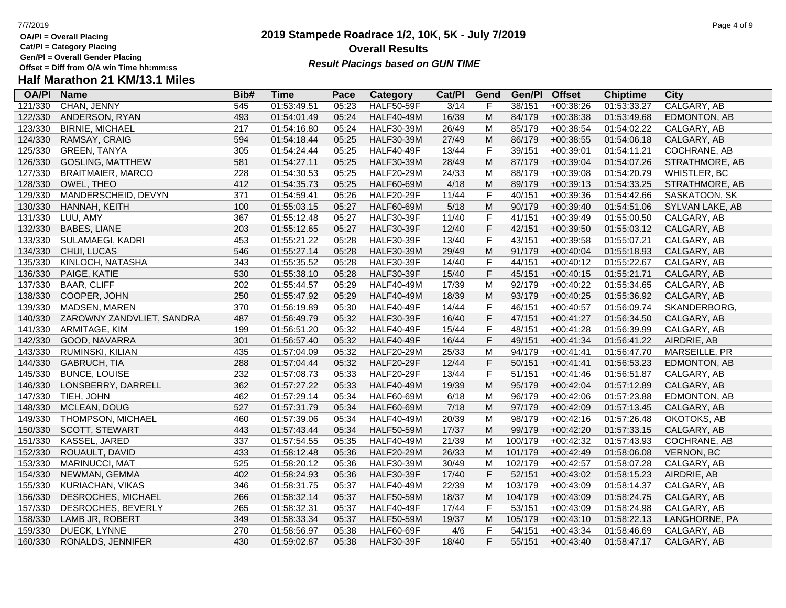**Cat/Pl = Category Placing**

**Gen/Pl = Overall Gender Placing**

# **Half Marathon 21 KM/13.1 Miles**

| <b>OA/PI</b> | <b>Name</b>               | Bib# | <b>Time</b> | Pace  | Category          | Cat/PI            | Gend        | Gen/Pl  | <b>Offset</b> | <b>Chiptime</b> | City              |
|--------------|---------------------------|------|-------------|-------|-------------------|-------------------|-------------|---------|---------------|-----------------|-------------------|
| 121/330      | CHAN, JENNY               | 545  | 01:53:49.51 | 05:23 | <b>HALF50-59F</b> | $\overline{3/14}$ | F           | 38/151  | $+00:38:26$   | 01:53:33.27     | CALGARY, AB       |
| 122/330      | ANDERSON, RYAN            | 493  | 01:54:01.49 | 05:24 | <b>HALF40-49M</b> | 16/39             | M           | 84/179  | $+00:38:38$   | 01:53:49.68     | EDMONTON, AB      |
| 123/330      | <b>BIRNIE, MICHAEL</b>    | 217  | 01:54:16.80 | 05:24 | <b>HALF30-39M</b> | 26/49             | M           | 85/179  | $+00:38:54$   | 01:54:02.22     | CALGARY, AB       |
| 124/330      | RAMSAY, CRAIG             | 594  | 01:54:18.44 | 05:25 | <b>HALF30-39M</b> | 27/49             | M           | 86/179  | $+00:38:55$   | 01:54:06.18     | CALGARY, AB       |
| 125/330      | <b>GREEN, TANYA</b>       | 305  | 01:54:24.44 | 05:25 | <b>HALF40-49F</b> | 13/44             | $\mathsf F$ | 39/151  | $+00:39:01$   | 01:54:11.21     | COCHRANE, AB      |
| 126/330      | <b>GOSLING, MATTHEW</b>   | 581  | 01:54:27.11 | 05:25 | <b>HALF30-39M</b> | 28/49             | M           | 87/179  | $+00:39:04$   | 01:54:07.26     | STRATHMORE, AB    |
| 127/330      | <b>BRAITMAIER, MARCO</b>  | 228  | 01:54:30.53 | 05:25 | <b>HALF20-29M</b> | 24/33             | M           | 88/179  | $+00:39:08$   | 01:54:20.79     | WHISTLER, BC      |
| 128/330      | OWEL, THEO                | 412  | 01:54:35.73 | 05:25 | <b>HALF60-69M</b> | 4/18              | M           | 89/179  | $+00:39:13$   | 01:54:33.25     | STRATHMORE, AB    |
| 129/330      | MANDERSCHEID, DEVYN       | 371  | 01:54:59.41 | 05:26 | <b>HALF20-29F</b> | 11/44             | $\mathsf F$ | 40/151  | $+00:39:36$   | 01:54:42.66     | SASKATOON, SK     |
| 130/330      | HANNAH, KEITH             | 100  | 01:55:03.15 | 05:27 | <b>HALF60-69M</b> | 5/18              | M           | 90/179  | $+00:39:40$   | 01:54:51.06     | SYLVAN LAKE, AB   |
| 131/330      | LUU, AMY                  | 367  | 01:55:12.48 | 05:27 | <b>HALF30-39F</b> | 11/40             | $\mathsf F$ | 41/151  | $+00:39:49$   | 01:55:00.50     | CALGARY, AB       |
| 132/330      | <b>BABES, LIANE</b>       | 203  | 01:55:12.65 | 05:27 | <b>HALF30-39F</b> | 12/40             | $\mathsf F$ | 42/151  | $+00:39:50$   | 01:55:03.12     | CALGARY, AB       |
| 133/330      | SULAMAEGI, KADRI          | 453  | 01:55:21.22 | 05:28 | <b>HALF30-39F</b> | 13/40             | $\mathsf F$ | 43/151  | $+00:39:58$   | 01:55:07.21     | CALGARY, AB       |
| 134/330      | CHUI, LUCAS               | 546  | 01:55:27.14 | 05:28 | <b>HALF30-39M</b> | 29/49             | M           | 91/179  | $+00:40:04$   | 01:55:18.93     | CALGARY, AB       |
| 135/330      | KINLOCH, NATASHA          | 343  | 01:55:35.52 | 05:28 | <b>HALF30-39F</b> | 14/40             | $\mathsf F$ | 44/151  | $+00:40:12$   | 01:55:22.67     | CALGARY, AB       |
| 136/330      | PAIGE, KATIE              | 530  | 01:55:38.10 | 05:28 | <b>HALF30-39F</b> | 15/40             | $\mathsf F$ | 45/151  | $+00:40:15$   | 01:55:21.71     | CALGARY, AB       |
| 137/330      | <b>BAAR, CLIFF</b>        | 202  | 01:55:44.57 | 05:29 | <b>HALF40-49M</b> | 17/39             | M           | 92/179  | $+00:40:22$   | 01:55:34.65     | CALGARY, AB       |
| 138/330      | COOPER, JOHN              | 250  | 01:55:47.92 | 05:29 | <b>HALF40-49M</b> | 18/39             | M           | 93/179  | $+00:40:25$   | 01:55:36.92     | CALGARY, AB       |
| 139/330      | MADSEN, MAREN             | 370  | 01:56:19.89 | 05:30 | <b>HALF40-49F</b> | 14/44             | $\mathsf F$ | 46/151  | $+00:40:57$   | 01:56:09.74     | SKANDERBORG,      |
| 140/330      | ZAROWNY ZANDVLIET, SANDRA | 487  | 01:56:49.79 | 05:32 | <b>HALF30-39F</b> | 16/40             | $\mathsf F$ | 47/151  | $+00:41:27$   | 01:56:34.50     | CALGARY, AB       |
| 141/330      | ARMITAGE, KIM             | 199  | 01:56:51.20 | 05:32 | <b>HALF40-49F</b> | 15/44             | $\mathsf F$ | 48/151  | $+00:41:28$   | 01:56:39.99     | CALGARY, AB       |
| 142/330      | GOOD, NAVARRA             | 301  | 01:56:57.40 | 05:32 | <b>HALF40-49F</b> | 16/44             | $\mathsf F$ | 49/151  | $+00:41:34$   | 01:56:41.22     | AIRDRIE, AB       |
| 143/330      | RUMINSKI, KILIAN          | 435  | 01:57:04.09 | 05:32 | <b>HALF20-29M</b> | 25/33             | M           | 94/179  | $+00:41:41$   | 01:56:47.70     | MARSEILLE, PR     |
| 144/330      | GABRUCH, TIA              | 288  | 01:57:04.44 | 05:32 | <b>HALF20-29F</b> | 12/44             | $\mathsf F$ | 50/151  | $+00:41:41$   | 01:56:53.23     | EDMONTON, AB      |
| 145/330      | <b>BUNCE, LOUISE</b>      | 232  | 01:57:08.73 | 05:33 | <b>HALF20-29F</b> | 13/44             | $\mathsf F$ | 51/151  | $+00:41:46$   | 01:56:51.87     | CALGARY, AB       |
| 146/330      | LONSBERRY, DARRELL        | 362  | 01:57:27.22 | 05:33 | <b>HALF40-49M</b> | 19/39             | M           | 95/179  | $+00:42:04$   | 01:57:12.89     | CALGARY, AB       |
| 147/330      | TIEH, JOHN                | 462  | 01:57:29.14 | 05:34 | <b>HALF60-69M</b> | 6/18              | M           | 96/179  | $+00:42:06$   | 01:57:23.88     | EDMONTON, AB      |
| 148/330      | MCLEAN, DOUG              | 527  | 01:57:31.79 | 05:34 | <b>HALF60-69M</b> | 7/18              | ${\sf M}$   | 97/179  | $+00:42:09$   | 01:57:13.45     | CALGARY, AB       |
| 149/330      | THOMPSON, MICHAEL         | 460  | 01:57:39.06 | 05:34 | <b>HALF40-49M</b> | 20/39             | M           | 98/179  | $+00:42:16$   | 01:57:26.48     | OKOTOKS, AB       |
| 150/330      | SCOTT, STEWART            | 443  | 01:57:43.44 | 05:34 | <b>HALF50-59M</b> | 17/37             | M           | 99/179  | $+00:42:20$   | 01:57:33.15     | CALGARY, AB       |
| 151/330      | KASSEL, JARED             | 337  | 01:57:54.55 | 05:35 | <b>HALF40-49M</b> | 21/39             | M           | 100/179 | $+00:42:32$   | 01:57:43.93     | COCHRANE, AB      |
| 152/330      | ROUAULT, DAVID            | 433  | 01:58:12.48 | 05:36 | <b>HALF20-29M</b> | 26/33             | M           | 101/179 | $+00:42:49$   | 01:58:06.08     | <b>VERNON, BC</b> |
| 153/330      | <b>MARINUCCI, MAT</b>     | 525  | 01:58:20.12 | 05:36 | <b>HALF30-39M</b> | 30/49             | M           | 102/179 | $+00:42:57$   | 01:58:07.28     | CALGARY, AB       |
| 154/330      | NEWMAN, GEMMA             | 402  | 01:58:24.93 | 05:36 | <b>HALF30-39F</b> | 17/40             | $\mathsf F$ | 52/151  | $+00:43:02$   | 01:58:15.23     | AIRDRIE, AB       |
| 155/330      | KURIACHAN, VIKAS          | 346  | 01:58:31.75 | 05:37 | <b>HALF40-49M</b> | 22/39             | M           | 103/179 | $+00:43:09$   | 01:58:14.37     | CALGARY, AB       |
| 156/330      | DESROCHES, MICHAEL        | 266  | 01:58:32.14 | 05:37 | <b>HALF50-59M</b> | 18/37             | M           | 104/179 | $+00:43:09$   | 01:58:24.75     | CALGARY, AB       |
| 157/330      | DESROCHES, BEVERLY        | 265  | 01:58:32.31 | 05:37 | <b>HALF40-49F</b> | 17/44             | $\mathsf F$ | 53/151  | $+00:43:09$   | 01:58:24.98     | CALGARY, AB       |
| 158/330      | LAMB JR, ROBERT           | 349  | 01:58:33.34 | 05:37 | <b>HALF50-59M</b> | 19/37             | M           | 105/179 | $+00:43:10$   | 01:58:22.13     | LANGHORNE, PA     |
| 159/330      | DUECK, LYNNE              | 270  | 01:58:56.97 | 05:38 | <b>HALF60-69F</b> | 4/6               | $\mathsf F$ | 54/151  | $+00:43:34$   | 01:58:46.69     | CALGARY, AB       |
| 160/330      | RONALDS, JENNIFER         | 430  | 01:59:02.87 | 05:38 | <b>HALF30-39F</b> | 18/40             | F           | 55/151  | $+00:43:40$   | 01:58:47.17     | CALGARY, AB       |
|              |                           |      |             |       |                   |                   |             |         |               |                 |                   |

## **2019 Stampede Roadrace 1/2, 10K, 5K - July 7/2019 Overall Results Result Placings based on GUN TIME**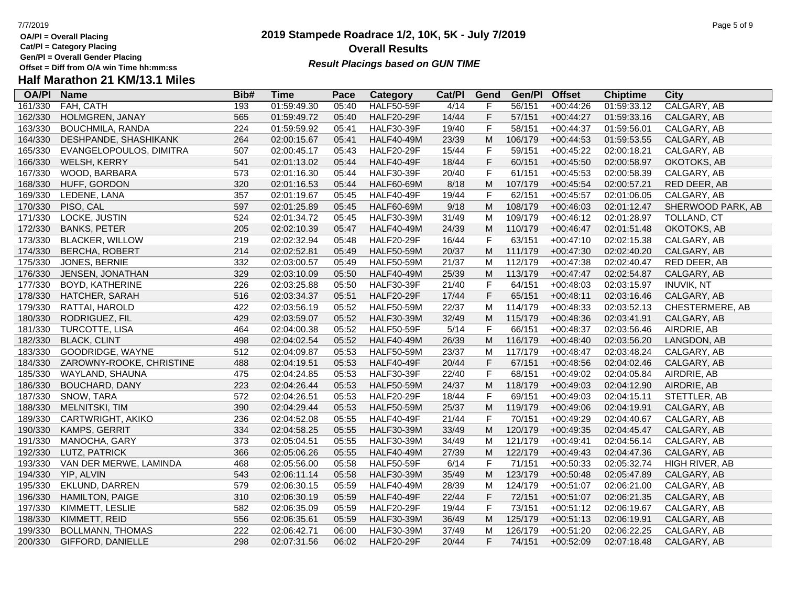**Cat/Pl = Category Placing**

**Gen/Pl = Overall Gender Placing**

## **Half Marathon 21 KM/13.1 Miles**

| <b>OA/PI</b> | <b>Name</b>              | Bib# | <b>Time</b> | Pace  | Category          | Cat/PI | Gend        | Gen/Pl  | <b>Offset</b> | <b>Chiptime</b> | <b>City</b>       |
|--------------|--------------------------|------|-------------|-------|-------------------|--------|-------------|---------|---------------|-----------------|-------------------|
| 161/330      | FAH, CATH                | 193  | 01:59:49.30 | 05:40 | <b>HALF50-59F</b> | 4/14   | F           | 56/151  | $+00:44:26$   | 01:59:33.12     | CALGARY, AB       |
| 162/330      | HOLMGREN, JANAY          | 565  | 01:59:49.72 | 05:40 | <b>HALF20-29F</b> | 14/44  | $\mathsf F$ | 57/151  | $+00:44:27$   | 01:59:33.16     | CALGARY, AB       |
| 163/330      | <b>BOUCHMILA, RANDA</b>  | 224  | 01:59:59.92 | 05:41 | <b>HALF30-39F</b> | 19/40  | $\mathsf F$ | 58/151  | $+00:44:37$   | 01:59:56.01     | CALGARY, AB       |
| 164/330      | DESHPANDE, SHASHIKANK    | 264  | 02:00:15.67 | 05:41 | <b>HALF40-49M</b> | 23/39  | M           | 106/179 | $+00:44:53$   | 01:59:53.55     | CALGARY, AB       |
| 165/330      | EVANGELOPOULOS, DIMITRA  | 507  | 02:00:45.17 | 05:43 | <b>HALF20-29F</b> | 15/44  | $\mathsf F$ | 59/151  | $+00:45:22$   | 02:00:18.21     | CALGARY, AB       |
| 166/330      | WELSH, KERRY             | 541  | 02:01:13.02 | 05:44 | <b>HALF40-49F</b> | 18/44  | $\mathsf F$ | 60/151  | $+00:45:50$   | 02:00:58.97     | OKOTOKS, AB       |
| 167/330      | WOOD, BARBARA            | 573  | 02:01:16.30 | 05:44 | <b>HALF30-39F</b> | 20/40  | $\mathsf F$ | 61/151  | $+00:45:53$   | 02:00:58.39     | CALGARY, AB       |
| 168/330      | HUFF, GORDON             | 320  | 02:01:16.53 | 05:44 | <b>HALF60-69M</b> | 8/18   | M           | 107/179 | $+00:45:54$   | 02:00:57.21     | RED DEER, AB      |
| 169/330      | LEDENE, LANA             | 357  | 02:01:19.67 | 05:45 | <b>HALF40-49F</b> | 19/44  | $\mathsf F$ | 62/151  | $+00:45:57$   | 02:01:06.05     | CALGARY, AB       |
| 170/330      | PISO, CAL                | 597  | 02:01:25.89 | 05:45 | <b>HALF60-69M</b> | 9/18   | ${\sf M}$   | 108/179 | $+00:46:03$   | 02:01:12.47     | SHERWOOD PARK, AB |
| 171/330      | LOCKE, JUSTIN            | 524  | 02:01:34.72 | 05:45 | <b>HALF30-39M</b> | 31/49  | M           | 109/179 | $+00:46:12$   | 02:01:28.97     | TOLLAND, CT       |
| 172/330      | <b>BANKS, PETER</b>      | 205  | 02:02:10.39 | 05:47 | <b>HALF40-49M</b> | 24/39  | M           | 110/179 | $+00:46:47$   | 02:01:51.48     | OKOTOKS, AB       |
| 173/330      | <b>BLACKER, WILLOW</b>   | 219  | 02:02:32.94 | 05:48 | <b>HALF20-29F</b> | 16/44  | $\mathsf F$ | 63/151  | $+00:47:10$   | 02:02:15.38     | CALGARY, AB       |
| 174/330      | <b>BERCHA, ROBERT</b>    | 214  | 02:02:52.81 | 05:49 | <b>HALF50-59M</b> | 20/37  | M           | 111/179 | $+00:47:30$   | 02:02:40.20     | CALGARY, AB       |
| 175/330      | JONES, BERNIE            | 332  | 02:03:00.57 | 05:49 | <b>HALF50-59M</b> | 21/37  | M           | 112/179 | $+00:47:38$   | 02:02:40.47     | RED DEER, AB      |
| 176/330      | JENSEN, JONATHAN         | 329  | 02:03:10.09 | 05:50 | <b>HALF40-49M</b> | 25/39  | M           | 113/179 | $+00:47:47$   | 02:02:54.87     | CALGARY, AB       |
| 177/330      | <b>BOYD, KATHERINE</b>   | 226  | 02:03:25.88 | 05:50 | <b>HALF30-39F</b> | 21/40  | $\mathsf F$ | 64/151  | $+00:48:03$   | 02:03:15.97     | <b>INUVIK, NT</b> |
| 178/330      | HATCHER, SARAH           | 516  | 02:03:34.37 | 05:51 | <b>HALF20-29F</b> | 17/44  | $\mathsf F$ | 65/151  | $+00:48:11$   | 02:03:16.46     | CALGARY, AB       |
| 179/330      | RATTAI, HAROLD           | 422  | 02:03:56.19 | 05:52 | <b>HALF50-59M</b> | 22/37  | M           | 114/179 | $+00:48:33$   | 02:03:52.13     | CHESTERMERE, AB   |
| 180/330      | RODRIGUEZ, FIL           | 429  | 02:03:59.07 | 05:52 | <b>HALF30-39M</b> | 32/49  | M           | 115/179 | $+00:48:36$   | 02:03:41.91     | CALGARY, AB       |
| 181/330      | TURCOTTE, LISA           | 464  | 02:04:00.38 | 05:52 | <b>HALF50-59F</b> | 5/14   | $\mathsf F$ | 66/151  | $+00:48:37$   | 02:03:56.46     | AIRDRIE, AB       |
| 182/330      | <b>BLACK, CLINT</b>      | 498  | 02:04:02.54 | 05:52 | <b>HALF40-49M</b> | 26/39  | M           | 116/179 | $+00:48:40$   | 02:03:56.20     | LANGDON, AB       |
| 183/330      | GOODRIDGE, WAYNE         | 512  | 02:04:09.87 | 05:53 | <b>HALF50-59M</b> | 23/37  | M           | 117/179 | $+00:48:47$   | 02:03:48.24     | CALGARY, AB       |
| 184/330      | ZAROWNY-ROOKE, CHRISTINE | 488  | 02:04:19.51 | 05:53 | <b>HALF40-49F</b> | 20/44  | $\mathsf F$ | 67/151  | $+00:48:56$   | 02:04:02.46     | CALGARY, AB       |
| 185/330      | WAYLAND, SHAUNA          | 475  | 02:04:24.85 | 05:53 | <b>HALF30-39F</b> | 22/40  | $\mathsf F$ | 68/151  | $+00:49:02$   | 02:04:05.84     | AIRDRIE, AB       |
| 186/330      | BOUCHARD, DANY           | 223  | 02:04:26.44 | 05:53 | <b>HALF50-59M</b> | 24/37  | M           | 118/179 | $+00:49:03$   | 02:04:12.90     | AIRDRIE, AB       |
| 187/330      | SNOW, TARA               | 572  | 02:04:26.51 | 05:53 | <b>HALF20-29F</b> | 18/44  | $\mathsf F$ | 69/151  | $+00:49:03$   | 02:04:15.11     | STETTLER, AB      |
| 188/330      | MELNITSKI, TIM           | 390  | 02:04:29.44 | 05:53 | <b>HALF50-59M</b> | 25/37  | M           | 119/179 | $+00:49:06$   | 02:04:19.91     | CALGARY, AB       |
| 189/330      | CARTWRIGHT, AKIKO        | 236  | 02:04:52.08 | 05:55 | HALF40-49F        | 21/44  | $\mathsf F$ | 70/151  | $+00:49:29$   | 02:04:40.67     | CALGARY, AB       |
| 190/330      | KAMPS, GERRIT            | 334  | 02:04:58.25 | 05:55 | <b>HALF30-39M</b> | 33/49  | M           | 120/179 | $+00:49:35$   | 02:04:45.47     | CALGARY, AB       |
| 191/330      | MANOCHA, GARY            | 373  | 02:05:04.51 | 05:55 | <b>HALF30-39M</b> | 34/49  | M           | 121/179 | $+00:49:41$   | 02:04:56.14     | CALGARY, AB       |
| 192/330      | LUTZ, PATRICK            | 366  | 02:05:06.26 | 05:55 | <b>HALF40-49M</b> | 27/39  | ${\sf M}$   | 122/179 | $+00:49:43$   | 02:04:47.36     | CALGARY, AB       |
| 193/330      | VAN DER MERWE, LAMINDA   | 468  | 02:05:56.00 | 05:58 | <b>HALF50-59F</b> | 6/14   | $\mathsf F$ | 71/151  | $+00:50:33$   | 02:05:32.74     | HIGH RIVER, AB    |
| 194/330      | YIP, ALVIN               | 543  | 02:06:11.14 | 05:58 | <b>HALF30-39M</b> | 35/49  | M           | 123/179 | $+00:50:48$   | 02:05:47.89     | CALGARY, AB       |
| 195/330      | <b>EKLUND, DARREN</b>    | 579  | 02:06:30.15 | 05:59 | <b>HALF40-49M</b> | 28/39  | M           | 124/179 | $+00:51:07$   | 02:06:21.00     | CALGARY, AB       |
| 196/330      | <b>HAMILTON, PAIGE</b>   | 310  | 02:06:30.19 | 05:59 | <b>HALF40-49F</b> | 22/44  | $\mathsf F$ | 72/151  | $+00:51:07$   | 02:06:21.35     | CALGARY, AB       |
| 197/330      | KIMMETT, LESLIE          | 582  | 02:06:35.09 | 05:59 | <b>HALF20-29F</b> | 19/44  | $\mathsf F$ | 73/151  | $+00:51:12$   | 02:06:19.67     | CALGARY, AB       |
| 198/330      | KIMMETT, REID            | 556  | 02:06:35.61 | 05:59 | <b>HALF30-39M</b> | 36/49  | M           | 125/179 | $+00:51:13$   | 02:06:19.91     | CALGARY, AB       |
| 199/330      | <b>BOLLMANN, THOMAS</b>  | 222  | 02:06:42.71 | 06:00 | <b>HALF30-39M</b> | 37/49  | M           | 126/179 | $+00:51:20$   | 02:06:22.25     | CALGARY, AB       |
| 200/330      | GIFFORD, DANIELLE        | 298  | 02:07:31.56 | 06:02 | <b>HALF20-29F</b> | 20/44  | F           | 74/151  | $+00:52:09$   | 02:07:18.48     | CALGARY, AB       |

## **2019 Stampede Roadrace 1/2, 10K, 5K - July 7/2019 Overall Results**

**Result Placings based on GUN TIME**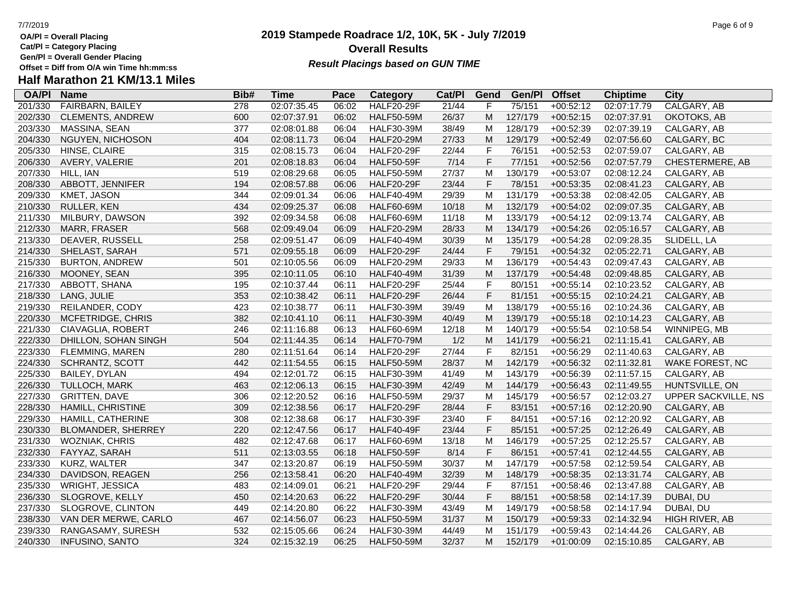- **OA/Pl = Overall Placing Cat/Pl = Category Placing**
- 
- **Gen/Pl = Overall Gender Placing**

## **2019 Stampede Roadrace 1/2, 10K, 5K - July 7/2019** 7/7/2019 Page 6 of 9 **Overall Results Result Placings based on GUN TIME**

| <b>OA/PI</b> | <b>Name</b>             | Bib# | <b>Time</b> | Pace  | Category          | Cat/PI | Gend | Gen/Pl  | <b>Offset</b> | <b>Chiptime</b> | City                       |
|--------------|-------------------------|------|-------------|-------|-------------------|--------|------|---------|---------------|-----------------|----------------------------|
| 201/330      | <b>FAIRBARN, BAILEY</b> | 278  | 02:07:35.45 | 06:02 | <b>HALF20-29F</b> | 21/44  | F    | 75/151  | $+00:52:12$   | 02:07:17.79     | CALGARY, AB                |
| 202/330      | <b>CLEMENTS, ANDREW</b> | 600  | 02:07:37.91 | 06:02 | <b>HALF50-59M</b> | 26/37  | M    | 127/179 | $+00:52:15$   | 02:07:37.91     | OKOTOKS, AB                |
| 203/330      | MASSINA, SEAN           | 377  | 02:08:01.88 | 06:04 | <b>HALF30-39M</b> | 38/49  | M    | 128/179 | $+00:52:39$   | 02:07:39.19     | CALGARY, AB                |
| 204/330      | NGUYEN, NICHOSON        | 404  | 02:08:11.73 | 06:04 | <b>HALF20-29M</b> | 27/33  | M    | 129/179 | $+00:52:49$   | 02:07:56.60     | CALGARY, BC                |
| 205/330      | HINSE, CLAIRE           | 315  | 02:08:15.73 | 06:04 | <b>HALF20-29F</b> | 22/44  | F    | 76/151  | $+00:52:53$   | 02:07:59.07     | CALGARY, AB                |
| 206/330      | AVERY, VALERIE          | 201  | 02:08:18.83 | 06:04 | <b>HALF50-59F</b> | 7/14   | F    | 77/151  | $+00:52:56$   | 02:07:57.79     | CHESTERMERE, AB            |
| 207/330      | HILL, IAN               | 519  | 02:08:29.68 | 06:05 | <b>HALF50-59M</b> | 27/37  | M    | 130/179 | $+00:53:07$   | 02:08:12.24     | CALGARY, AB                |
| 208/330      | ABBOTT, JENNIFER        | 194  | 02:08:57.88 | 06:06 | <b>HALF20-29F</b> | 23/44  | F    | 78/151  | $+00:53:35$   | 02:08:41.23     | CALGARY, AB                |
| 209/330      | KMET, JASON             | 344  | 02:09:01.34 | 06:06 | <b>HALF40-49M</b> | 29/39  | M    | 131/179 | $+00:53:38$   | 02:08:42.05     | CALGARY, AB                |
| 210/330      | RULLER, KEN             | 434  | 02:09:25.37 | 06:08 | <b>HALF60-69M</b> | 10/18  | M    | 132/179 | $+00:54:02$   | 02:09:07.35     | CALGARY, AB                |
| 211/330      | MILBURY, DAWSON         | 392  | 02:09:34.58 | 06:08 | <b>HALF60-69M</b> | 11/18  | M    | 133/179 | $+00:54:12$   | 02:09:13.74     | CALGARY, AB                |
| 212/330      | MARR, FRASER            | 568  | 02:09:49.04 | 06:09 | <b>HALF20-29M</b> | 28/33  | M    | 134/179 | $+00:54:26$   | 02:05:16.57     | CALGARY, AB                |
| 213/330      | DEAVER, RUSSELL         | 258  | 02:09:51.47 | 06:09 | <b>HALF40-49M</b> | 30/39  | M    | 135/179 | $+00:54:28$   | 02:09:28.35     | SLIDELL, LA                |
| 214/330      | SHELAST, SARAH          | 571  | 02:09:55.18 | 06:09 | <b>HALF20-29F</b> | 24/44  | F    | 79/151  | $+00:54:32$   | 02:05:22.71     | CALGARY, AB                |
| 215/330      | <b>BURTON, ANDREW</b>   | 501  | 02:10:05.56 | 06:09 | <b>HALF20-29M</b> | 29/33  | M    | 136/179 | $+00:54:43$   | 02:09:47.43     | CALGARY, AB                |
| 216/330      | MOONEY, SEAN            | 395  | 02:10:11.05 | 06:10 | <b>HALF40-49M</b> | 31/39  | M    | 137/179 | $+00:54:48$   | 02:09:48.85     | CALGARY, AB                |
| 217/330      | ABBOTT, SHANA           | 195  | 02:10:37.44 | 06:11 | <b>HALF20-29F</b> | 25/44  | F    | 80/151  | $+00:55:14$   | 02:10:23.52     | CALGARY, AB                |
| 218/330      | LANG, JULIE             | 353  | 02:10:38.42 | 06:11 | <b>HALF20-29F</b> | 26/44  | F    | 81/151  | $+00:55:15$   | 02:10:24.21     | CALGARY, AB                |
| 219/330      | REILANDER, CODY         | 423  | 02:10:38.77 | 06:11 | <b>HALF30-39M</b> | 39/49  | M    | 138/179 | $+00:55:16$   | 02:10:24.36     | CALGARY, AB                |
| 220/330      | MCFETRIDGE, CHRIS       | 382  | 02:10:41.10 | 06:11 | <b>HALF30-39M</b> | 40/49  | M    | 139/179 | $+00:55:18$   | 02:10:14.23     | CALGARY, AB                |
| 221/330      | CIAVAGLIA, ROBERT       | 246  | 02:11:16.88 | 06:13 | <b>HALF60-69M</b> | 12/18  | M    | 140/179 | $+00:55:54$   | 02:10:58.54     | WINNIPEG, MB               |
| 222/330      | DHILLON, SOHAN SINGH    | 504  | 02:11:44.35 | 06:14 | <b>HALF70-79M</b> | 1/2    | M    | 141/179 | $+00:56:21$   | 02:11:15.41     | CALGARY, AB                |
| 223/330      | <b>FLEMMING, MAREN</b>  | 280  | 02:11:51.64 | 06:14 | <b>HALF20-29F</b> | 27/44  | F    | 82/151  | $+00:56:29$   | 02:11:40.63     | CALGARY, AB                |
| 224/330      | <b>SCHRANTZ, SCOTT</b>  | 442  | 02:11:54.55 | 06:15 | <b>HALF50-59M</b> | 28/37  | M    | 142/179 | $+00:56:32$   | 02:11:32.81     | WAKE FOREST, NC            |
| 225/330      | BAILEY, DYLAN           | 494  | 02:12:01.72 | 06:15 | <b>HALF30-39M</b> | 41/49  | M    | 143/179 | $+00:56:39$   | 02:11:57.15     | CALGARY, AB                |
| 226/330      | TULLOCH, MARK           | 463  | 02:12:06.13 | 06:15 | <b>HALF30-39M</b> | 42/49  | M    | 144/179 | $+00:56:43$   | 02:11:49.55     | HUNTSVILLE, ON             |
| 227/330      | <b>GRITTEN, DAVE</b>    | 306  | 02:12:20.52 | 06:16 | <b>HALF50-59M</b> | 29/37  | M    | 145/179 | $+00:56:57$   | 02:12:03.27     | <b>UPPER SACKVILLE, NS</b> |
| 228/330      | HAMILL, CHRISTINE       | 309  | 02:12:38.56 | 06:17 | <b>HALF20-29F</b> | 28/44  | F    | 83/151  | $+00:57:16$   | 02:12:20.90     | CALGARY, AB                |
| 229/330      | HAMILL, CATHERINE       | 308  | 02:12:38.68 | 06:17 | <b>HALF30-39F</b> | 23/40  | F    | 84/151  | $+00:57:16$   | 02:12:20.92     | CALGARY, AB                |
| 230/330      | BLOMANDER, SHERREY      | 220  | 02:12:47.56 | 06:17 | <b>HALF40-49F</b> | 23/44  | F    | 85/151  | $+00:57:25$   | 02:12:26.49     | CALGARY, AB                |
| 231/330      | WOZNIAK, CHRIS          | 482  | 02:12:47.68 | 06:17 | <b>HALF60-69M</b> | 13/18  | M    | 146/179 | $+00:57:25$   | 02:12:25.57     | CALGARY, AB                |
| 232/330      | FAYYAZ, SARAH           | 511  | 02:13:03.55 | 06:18 | <b>HALF50-59F</b> | 8/14   | F    | 86/151  | $+00:57:41$   | 02:12:44.55     | CALGARY, AB                |
| 233/330      | KURZ, WALTER            | 347  | 02:13:20.87 | 06:19 | <b>HALF50-59M</b> | 30/37  | M    | 147/179 | $+00:57:58$   | 02:12:59.54     | CALGARY, AB                |
| 234/330      | DAVIDSON, REAGEN        | 256  | 02:13:58.41 | 06:20 | <b>HALF40-49M</b> | 32/39  | М    | 148/179 | $+00:58:35$   | 02:13:31.74     | CALGARY, AB                |
| 235/330      | WRIGHT, JESSICA         | 483  | 02:14:09.01 | 06:21 | <b>HALF20-29F</b> | 29/44  | F    | 87/151  | $+00:58:46$   | 02:13:47.88     | CALGARY, AB                |
| 236/330      | SLOGROVE, KELLY         | 450  | 02:14:20.63 | 06:22 | <b>HALF20-29F</b> | 30/44  | F    | 88/151  | $+00:58:58$   | 02:14:17.39     | DUBAI, DU                  |
| 237/330      | SLOGROVE, CLINTON       | 449  | 02:14:20.80 | 06:22 | <b>HALF30-39M</b> | 43/49  | M    | 149/179 | $+00:58:58$   | 02:14:17.94     | DUBAI, DU                  |
| 238/330      | VAN DER MERWE, CARLO    | 467  | 02:14:56.07 | 06:23 | <b>HALF50-59M</b> | 31/37  | M    | 150/179 | $+00:59:33$   | 02:14:32.94     | HIGH RIVER, AB             |
| 239/330      | RANGASAMY, SURESH       | 532  | 02:15:05.66 | 06:24 | <b>HALF30-39M</b> | 44/49  | M    | 151/179 | $+00:59:43$   | 02:14:44.26     | CALGARY, AB                |
| 240/330      | <b>INFUSINO, SANTO</b>  | 324  | 02:15:32.19 | 06:25 | <b>HALF50-59M</b> | 32/37  | M    | 152/179 | $+01:00:09$   | 02:15:10.85     | CALGARY, AB                |
|              |                         |      |             |       |                   |        |      |         |               |                 |                            |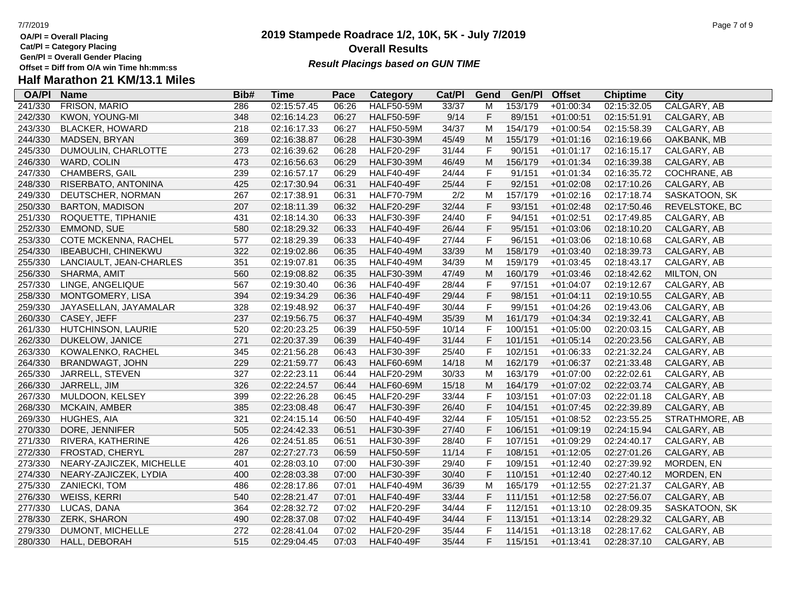**Cat/Pl = Category Placing**

**Gen/Pl = Overall Gender Placing**

# **Half Marathon 21 KM/13.1 Miles**

| <b>OA/PI</b> | <b>Name</b>                | Bib# | <b>Time</b> | Pace  | Category          | Cat/PI | Gend        | Gen/Pl  | <b>Offset</b> | <b>Chiptime</b> | City           |
|--------------|----------------------------|------|-------------|-------|-------------------|--------|-------------|---------|---------------|-----------------|----------------|
| 241/330      | FRISON, MARIO              | 286  | 02:15:57.45 | 06:26 | <b>HALF50-59M</b> | 33/37  | M           | 153/179 | $+01:00:34$   | 02:15:32.05     | CALGARY, AB    |
| 242/330      | KWON, YOUNG-MI             | 348  | 02:16:14.23 | 06:27 | <b>HALF50-59F</b> | 9/14   | $\mathsf F$ | 89/151  | $+01:00:51$   | 02:15:51.91     | CALGARY, AB    |
| 243/330      | <b>BLACKER, HOWARD</b>     | 218  | 02:16:17.33 | 06:27 | <b>HALF50-59M</b> | 34/37  | M           | 154/179 | $+01:00:54$   | 02:15:58.39     | CALGARY, AB    |
| 244/330      | <b>MADSEN, BRYAN</b>       | 369  | 02:16:38.87 | 06:28 | <b>HALF30-39M</b> | 45/49  | M           | 155/179 | $+01:01:16$   | 02:16:19.66     | OAKBANK, MB    |
| 245/330      | DUMOULIN, CHARLOTTE        | 273  | 02:16:39.62 | 06:28 | <b>HALF20-29F</b> | 31/44  | $\mathsf F$ | 90/151  | $+01:01:17$   | 02:16:15.17     | CALGARY, AB    |
| 246/330      | WARD, COLIN                | 473  | 02:16:56.63 | 06:29 | <b>HALF30-39M</b> | 46/49  | M           | 156/179 | $+01:01:34$   | 02:16:39.38     | CALGARY, AB    |
| 247/330      | CHAMBERS, GAIL             | 239  | 02:16:57.17 | 06:29 | <b>HALF40-49F</b> | 24/44  | $\mathsf F$ | 91/151  | $+01:01:34$   | 02:16:35.72     | COCHRANE, AB   |
| 248/330      | RISERBATO, ANTONINA        | 425  | 02:17:30.94 | 06:31 | <b>HALF40-49F</b> | 25/44  | $\mathsf F$ | 92/151  | $+01:02:08$   | 02:17:10.26     | CALGARY, AB    |
| 249/330      | DEUTSCHER, NORMAN          | 267  | 02:17:38.91 | 06:31 | <b>HALF70-79M</b> | 2/2    | M           | 157/179 | $+01:02:16$   | 02:17:18.74     | SASKATOON, SK  |
| 250/330      | <b>BARTON, MADISON</b>     | 207  | 02:18:11.39 | 06:32 | <b>HALF20-29F</b> | 32/44  | $\mathsf F$ | 93/151  | $+01:02:48$   | 02:17:50.46     | REVELSTOKE, BC |
| 251/330      | ROQUETTE, TIPHANIE         | 431  | 02:18:14.30 | 06:33 | <b>HALF30-39F</b> | 24/40  | $\mathsf F$ | 94/151  | $+01:02:51$   | 02:17:49.85     | CALGARY, AB    |
| 252/330      | EMMOND, SUE                | 580  | 02:18:29.32 | 06:33 | <b>HALF40-49F</b> | 26/44  | $\mathsf F$ | 95/151  | $+01:03:06$   | 02:18:10.20     | CALGARY, AB    |
| 253/330      | COTE MCKENNA, RACHEL       | 577  | 02:18:29.39 | 06:33 | <b>HALF40-49F</b> | 27/44  | $\mathsf F$ | 96/151  | $+01:03:06$   | 02:18:10.68     | CALGARY, AB    |
| 254/330      | <b>IBEABUCHI, CHINEKWU</b> | 322  | 02:19:02.86 | 06:35 | <b>HALF40-49M</b> | 33/39  | M           | 158/179 | $+01:03:40$   | 02:18:39.73     | CALGARY, AB    |
| 255/330      | LANCIAULT, JEAN-CHARLES    | 351  | 02:19:07.81 | 06:35 | <b>HALF40-49M</b> | 34/39  | M           | 159/179 | $+01:03:45$   | 02:18:43.17     | CALGARY, AB    |
| 256/330      | SHARMA, AMIT               | 560  | 02:19:08.82 | 06:35 | <b>HALF30-39M</b> | 47/49  | M           | 160/179 | $+01:03:46$   | 02:18:42.62     | MILTON, ON     |
| 257/330      | LINGE, ANGELIQUE           | 567  | 02:19:30.40 | 06:36 | <b>HALF40-49F</b> | 28/44  | $\mathsf F$ | 97/151  | $+01:04:07$   | 02:19:12.67     | CALGARY, AB    |
| 258/330      | MONTGOMERY, LISA           | 394  | 02:19:34.29 | 06:36 | <b>HALF40-49F</b> | 29/44  | $\mathsf F$ | 98/151  | $+01:04:11$   | 02:19:10.55     | CALGARY, AB    |
| 259/330      | JAYASELLAN, JAYAMALAR      | 328  | 02:19:48.92 | 06:37 | <b>HALF40-49F</b> | 30/44  | $\mathsf F$ | 99/151  | $+01:04:26$   | 02:19:43.06     | CALGARY, AB    |
| 260/330      | CASEY, JEFF                | 237  | 02:19:56.75 | 06:37 | <b>HALF40-49M</b> | 35/39  | M           | 161/179 | $+01:04:34$   | 02:19:32.41     | CALGARY, AB    |
| 261/330      | HUTCHINSON, LAURIE         | 520  | 02:20:23.25 | 06:39 | <b>HALF50-59F</b> | 10/14  | $\mathsf F$ | 100/151 | $+01:05:00$   | 02:20:03.15     | CALGARY, AB    |
| 262/330      | DUKELOW, JANICE            | 271  | 02:20:37.39 | 06:39 | <b>HALF40-49F</b> | 31/44  | $\mathsf F$ | 101/151 | $+01:05:14$   | 02:20:23.56     | CALGARY, AB    |
| 263/330      | KOWALENKO, RACHEL          | 345  | 02:21:56.28 | 06:43 | <b>HALF30-39F</b> | 25/40  | $\mathsf F$ | 102/151 | $+01:06:33$   | 02:21:32.24     | CALGARY, AB    |
| 264/330      | <b>BRANDWAGT, JOHN</b>     | 229  | 02:21:59.77 | 06:43 | <b>HALF60-69M</b> | 14/18  | M           | 162/179 | $+01:06:37$   | 02:21:33.48     | CALGARY, AB    |
| 265/330      | JARRELL, STEVEN            | 327  | 02:22:23.11 | 06:44 | <b>HALF20-29M</b> | 30/33  | М           | 163/179 | $+01:07:00$   | 02:22:02.61     | CALGARY, AB    |
| 266/330      | JARRELL, JIM               | 326  | 02:22:24.57 | 06:44 | <b>HALF60-69M</b> | 15/18  | M           | 164/179 | $+01:07:02$   | 02:22:03.74     | CALGARY, AB    |
| 267/330      | MULDOON, KELSEY            | 399  | 02:22:26.28 | 06:45 | <b>HALF20-29F</b> | 33/44  | $\mathsf F$ | 103/151 | $+01:07:03$   | 02:22:01.18     | CALGARY, AB    |
| 268/330      | <b>MCKAIN, AMBER</b>       | 385  | 02:23:08.48 | 06:47 | <b>HALF30-39F</b> | 26/40  | $\mathsf F$ | 104/151 | $+01:07:45$   | 02:22:39.89     | CALGARY, AB    |
| 269/330      | HUGHES, AIA                | 321  | 02:24:15.14 | 06:50 | <b>HALF40-49F</b> | 32/44  | $\mathsf F$ | 105/151 | $+01:08:52$   | 02:23:55.25     | STRATHMORE, AB |
| 270/330      | DORE, JENNIFER             | 505  | 02:24:42.33 | 06:51 | <b>HALF30-39F</b> | 27/40  | $\mathsf F$ | 106/151 | $+01:09:19$   | 02:24:15.94     | CALGARY, AB    |
| 271/330      | RIVERA, KATHERINE          | 426  | 02:24:51.85 | 06:51 | <b>HALF30-39F</b> | 28/40  | $\mathsf F$ | 107/151 | +01:09:29     | 02:24:40.17     | CALGARY, AB    |
| 272/330      | FROSTAD, CHERYL            | 287  | 02:27:27.73 | 06:59 | <b>HALF50-59F</b> | 11/14  | $\mathsf F$ | 108/151 | $+01:12:05$   | 02:27:01.26     | CALGARY, AB    |
| 273/330      | NEARY-ZAJICZEK, MICHELLE   | 401  | 02:28:03.10 | 07:00 | <b>HALF30-39F</b> | 29/40  | $\mathsf F$ | 109/151 | $+01:12:40$   | 02:27:39.92     | MORDEN, EN     |
| 274/330      | NEARY-ZAJICZEK, LYDIA      | 400  | 02:28:03.38 | 07:00 | <b>HALF30-39F</b> | 30/40  | $\mathsf F$ | 110/151 | $+01:12:40$   | 02:27:40.12     | MORDEN, EN     |
| 275/330      | ZANIECKI, TOM              | 486  | 02:28:17.86 | 07:01 | <b>HALF40-49M</b> | 36/39  | M           | 165/179 | $+01:12:55$   | 02:27:21.37     | CALGARY, AB    |
| 276/330      | <b>WEISS, KERRI</b>        | 540  | 02:28:21.47 | 07:01 | <b>HALF40-49F</b> | 33/44  | $\mathsf F$ | 111/151 | $+01:12:58$   | 02:27:56.07     | CALGARY, AB    |
| 277/330      | LUCAS, DANA                | 364  | 02:28:32.72 | 07:02 | <b>HALF20-29F</b> | 34/44  | F           | 112/151 | $+01:13:10$   | 02:28:09.35     | SASKATOON, SK  |
| 278/330      | ZERK, SHARON               | 490  | 02:28:37.08 | 07:02 | <b>HALF40-49F</b> | 34/44  | $\mathsf F$ | 113/151 | $+01:13:14$   | 02:28:29.32     | CALGARY, AB    |
| 279/330      | DUMONT, MICHELLE           | 272  | 02:28:41.04 | 07:02 | <b>HALF20-29F</b> | 35/44  | $\mathsf F$ | 114/151 | $+01:13:18$   | 02:28:17.62     | CALGARY, AB    |
| 280/330      | HALL, DEBORAH              | 515  | 02:29:04.45 | 07:03 | <b>HALF40-49F</b> | 35/44  | F           | 115/151 | $+01:13:41$   | 02:28:37.10     | CALGARY, AB    |

## **2019 Stampede Roadrace 1/2, 10K, 5K - July 7/2019 Overall Results Result Placings based on GUN TIME**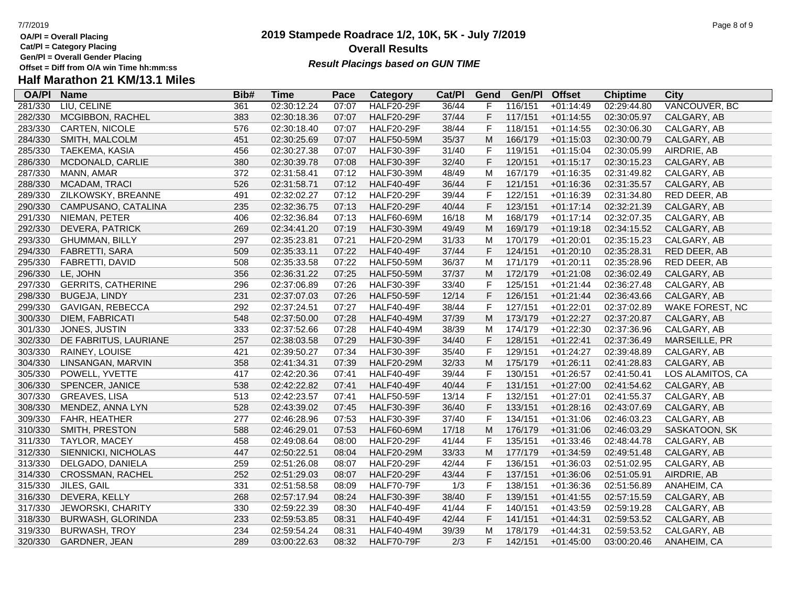**Cat/Pl = Category Placing**

**Gen/Pl = Overall Gender Placing**

# **Half Marathon 21 KM/13.1 Miles**

| <b>OA/PI</b> | <b>Name</b>               | Bib# | <b>Time</b> | Pace  | <b>Category</b>   | Cat/PI | Gend           | Gen/Pl  | <b>Offset</b> | <b>Chiptime</b> | <b>City</b>      |
|--------------|---------------------------|------|-------------|-------|-------------------|--------|----------------|---------|---------------|-----------------|------------------|
| 281/330      | LIU, CELINE               | 361  | 02:30:12.24 | 07:07 | <b>HALF20-29F</b> | 36/44  | F              | 116/151 | $+01:14:49$   | 02:29:44.80     | VANCOUVER, BC    |
| 282/330      | MCGIBBON, RACHEL          | 383  | 02:30:18.36 | 07:07 | <b>HALF20-29F</b> | 37/44  | $\mathsf F$    | 117/151 | $+01:14:55$   | 02:30:05.97     | CALGARY, AB      |
| 283/330      | <b>CARTEN, NICOLE</b>     | 576  | 02:30:18.40 | 07:07 | <b>HALF20-29F</b> | 38/44  | $\mathsf F$    | 118/151 | $+01:14:55$   | 02:30:06.30     | CALGARY, AB      |
| 284/330      | SMITH, MALCOLM            | 451  | 02:30:25.69 | 07:07 | <b>HALF50-59M</b> | 35/37  | M              | 166/179 | $+01:15:03$   | 02:30:00.79     | CALGARY, AB      |
| 285/330      | TAEKEMA, KASIA            | 456  | 02:30:27.38 | 07:07 | <b>HALF30-39F</b> | 31/40  | $\mathsf{F}$   | 119/151 | $+01:15:04$   | 02:30:05.99     | AIRDRIE, AB      |
| 286/330      | MCDONALD, CARLIE          | 380  | 02:30:39.78 | 07:08 | <b>HALF30-39F</b> | 32/40  | $\mathsf F$    | 120/151 | $+01:15:17$   | 02:30:15.23     | CALGARY, AB      |
| 287/330      | MANN, AMAR                | 372  | 02:31:58.41 | 07:12 | <b>HALF30-39M</b> | 48/49  | M              | 167/179 | $+01:16:35$   | 02:31:49.82     | CALGARY, AB      |
| 288/330      | MCADAM, TRACI             | 526  | 02:31:58.71 | 07:12 | <b>HALF40-49F</b> | 36/44  | $\mathsf F$    | 121/151 | $+01:16:36$   | 02:31:35.57     | CALGARY, AB      |
| 289/330      | ZILKOWSKY, BREANNE        | 491  | 02:32:02.27 | 07:12 | <b>HALF20-29F</b> | 39/44  | $\mathsf F$    | 122/151 | $+01:16:39$   | 02:31:34.80     | RED DEER, AB     |
| 290/330      | CAMPUSANO, CATALINA       | 235  | 02:32:36.75 | 07:13 | <b>HALF20-29F</b> | 40/44  | $\mathsf F$    | 123/151 | $+01:17:14$   | 02:32:21.39     | CALGARY, AB      |
| 291/330      | NIEMAN, PETER             | 406  | 02:32:36.84 | 07:13 | <b>HALF60-69M</b> | 16/18  | M              | 168/179 | $+01:17:14$   | 02:32:07.35     | CALGARY, AB      |
| 292/330      | DEVERA, PATRICK           | 269  | 02:34:41.20 | 07:19 | <b>HALF30-39M</b> | 49/49  | M              | 169/179 | $+01:19:18$   | 02:34:15.52     | CALGARY, AB      |
| 293/330      | <b>GHUMMAN, BILLY</b>     | 297  | 02:35:23.81 | 07:21 | <b>HALF20-29M</b> | 31/33  | M              | 170/179 | $+01:20:01$   | 02:35:15.23     | CALGARY, AB      |
| 294/330      | FABRETTI, SARA            | 509  | 02:35:33.11 | 07:22 | <b>HALF40-49F</b> | 37/44  | $\mathsf F$    | 124/151 | $+01:20:10$   | 02:35:28.31     | RED DEER, AB     |
| 295/330      | <b>FABRETTI, DAVID</b>    | 508  | 02:35:33.58 | 07:22 | <b>HALF50-59M</b> | 36/37  | M              | 171/179 | $+01:20:11$   | 02:35:28.96     | RED DEER, AB     |
| 296/330      | LE, JOHN                  | 356  | 02:36:31.22 | 07:25 | <b>HALF50-59M</b> | 37/37  | M              | 172/179 | $+01:21:08$   | 02:36:02.49     | CALGARY, AB      |
| 297/330      | <b>GERRITS, CATHERINE</b> | 296  | 02:37:06.89 | 07:26 | <b>HALF30-39F</b> | 33/40  | $\mathsf F$    | 125/151 | $+01:21:44$   | 02:36:27.48     | CALGARY, AB      |
| 298/330      | <b>BUGEJA, LINDY</b>      | 231  | 02:37:07.03 | 07:26 | <b>HALF50-59F</b> | 12/14  | $\mathsf F$    | 126/151 | $+01:21:44$   | 02:36:43.66     | CALGARY, AB      |
| 299/330      | GAVIGAN, REBECCA          | 292  | 02:37:24.51 | 07:27 | <b>HALF40-49F</b> | 38/44  | $\mathsf F$    | 127/151 | $+01:22:01$   | 02:37:02.89     | WAKE FOREST, NC  |
| 300/330      | DIEM, FABRICATI           | 548  | 02:37:50.00 | 07:28 | <b>HALF40-49M</b> | 37/39  | M              | 173/179 | $+01:22:27$   | 02:37:20.87     | CALGARY, AB      |
| 301/330      | JONES, JUSTIN             | 333  | 02:37:52.66 | 07:28 | <b>HALF40-49M</b> | 38/39  | M              | 174/179 | $+01:22:30$   | 02:37:36.96     | CALGARY, AB      |
| 302/330      | DE FABRITUS, LAURIANE     | 257  | 02:38:03.58 | 07:29 | <b>HALF30-39F</b> | 34/40  | $\mathsf F$    | 128/151 | $+01:22:41$   | 02:37:36.49     | MARSEILLE, PR    |
| 303/330      | RAINEY, LOUISE            | 421  | 02:39:50.27 | 07:34 | <b>HALF30-39F</b> | 35/40  | $\mathsf{F}$   | 129/151 | $+01:24:27$   | 02:39:48.89     | CALGARY, AB      |
| 304/330      | LINSANGAN, MARVIN         | 358  | 02:41:34.31 | 07:39 | <b>HALF20-29M</b> | 32/33  | M              | 175/179 | $+01:26:11$   | 02:41:28.83     | CALGARY, AB      |
| 305/330      | POWELL, YVETTE            | 417  | 02:42:20.36 | 07:41 | <b>HALF40-49F</b> | 39/44  | $\mathsf F$    | 130/151 | $+01:26:57$   | 02:41:50.41     | LOS ALAMITOS, CA |
| 306/330      | SPENCER, JANICE           | 538  | 02:42:22.82 | 07:41 | <b>HALF40-49F</b> | 40/44  | $\mathsf F$    | 131/151 | $+01:27:00$   | 02:41:54.62     | CALGARY, AB      |
| 307/330      | <b>GREAVES, LISA</b>      | 513  | 02:42:23.57 | 07:41 | <b>HALF50-59F</b> | 13/14  | $\mathsf F$    | 132/151 | $+01:27:01$   | 02:41:55.37     | CALGARY, AB      |
| 308/330      | MENDEZ, ANNA LYN          | 528  | 02:43:39.02 | 07:45 | <b>HALF30-39F</b> | 36/40  | $\mathsf F$    | 133/151 | $+01:28:16$   | 02:43:07.69     | CALGARY, AB      |
| 309/330      | FAHR, HEATHER             | 277  | 02:46:28.96 | 07:53 | <b>HALF30-39F</b> | 37/40  | $\overline{F}$ | 134/151 | $+01:31:06$   | 02:46:03.23     | CALGARY, AB      |
| 310/330      | SMITH, PRESTON            | 588  | 02:46:29.01 | 07:53 | <b>HALF60-69M</b> | 17/18  | M              | 176/179 | $+01:31:06$   | 02:46:03.29     | SASKATOON, SK    |
| 311/330      | TAYLOR, MACEY             | 458  | 02:49:08.64 | 08:00 | <b>HALF20-29F</b> | 41/44  | $\mathsf F$    | 135/151 | $+01:33:46$   | 02:48:44.78     | CALGARY, AB      |
| 312/330      | SIENNICKI, NICHOLAS       | 447  | 02:50:22.51 | 08:04 | <b>HALF20-29M</b> | 33/33  | M              | 177/179 | $+01:34:59$   | 02:49:51.48     | CALGARY, AB      |
| 313/330      | DELGADO, DANIELA          | 259  | 02:51:26.08 | 08:07 | <b>HALF20-29F</b> | 42/44  | $\mathsf F$    | 136/151 | $+01:36:03$   | 02:51:02.95     | CALGARY, AB      |
| 314/330      | <b>CROSSMAN, RACHEL</b>   | 252  | 02:51:29.03 | 08:07 | <b>HALF20-29F</b> | 43/44  | $\mathsf F$    | 137/151 | $+01:36:06$   | 02:51:05.91     | AIRDRIE, AB      |
| 315/330      | JILES, GAIL               | 331  | 02:51:58.58 | 08:09 | <b>HALF70-79F</b> | 1/3    | $\mathsf F$    | 138/151 | $+01:36:36$   | 02:51:56.89     | ANAHEIM, CA      |
| 316/330      | DEVERA, KELLY             | 268  | 02:57:17.94 | 08:24 | <b>HALF30-39F</b> | 38/40  | $\mathsf F$    | 139/151 | $+01:41:55$   | 02:57:15.59     | CALGARY, AB      |
| 317/330      | JEWORSKI, CHARITY         | 330  | 02:59:22.39 | 08:30 | <b>HALF40-49F</b> | 41/44  | $\overline{F}$ | 140/151 | $+01:43:59$   | 02:59:19.28     | CALGARY, AB      |
| 318/330      | <b>BURWASH, GLORINDA</b>  | 233  | 02:59:53.85 | 08:31 | <b>HALF40-49F</b> | 42/44  | $\mathsf F$    | 141/151 | $+01:44:31$   | 02:59:53.52     | CALGARY, AB      |
| 319/330      | <b>BURWASH, TROY</b>      | 234  | 02:59:54.24 | 08:31 | <b>HALF40-49M</b> | 39/39  | M              | 178/179 | $+01:44:31$   | 02:59:53.52     | CALGARY, AB      |
| 320/330      | GARDNER, JEAN             | 289  | 03:00:22.63 | 08:32 | <b>HALF70-79F</b> | 2/3    | F              | 142/151 | $+01:45:00$   | 03:00:20.46     | ANAHEIM, CA      |

## **2019 Stampede Roadrace 1/2, 10K, 5K - July 7/2019** 7/7/2019 Page 8 of 9 **Overall Results Result Placings based on GUN TIME**